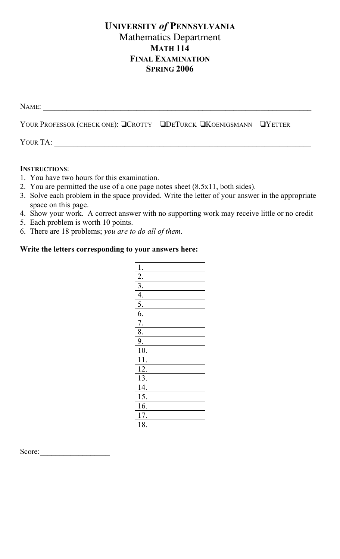## **UNIVERSITY** *of* **PENNSYLVANIA** Mathematics Department **MATH 114 FINAL EXAMINATION SPRING 2006**

| Name:                                                             |  |
|-------------------------------------------------------------------|--|
| YOUR PROFESSOR (CHECK ONE): QCROTTY QDETURCK QKOENIGSMANN QYETTER |  |
| YOUR TA:                                                          |  |

## **INSTRUCTIONS**:

- 1. You have two hours for this examination.
- 2. You are permitted the use of a one page notes sheet (8.5x11, both sides).
- 3. Solve each problem in the space provided. Write the letter of your answer in the appropriate space on this page.
- 4. Show your work. A correct answer with no supporting work may receive little or no credit
- 5. Each problem is worth 10 points.
- 6. There are 18 problems; *you are to do all of them*.

## **Write the letters corresponding to your answers here:**

| 1.                                                           |  |
|--------------------------------------------------------------|--|
| $\frac{2}{3}$                                                |  |
|                                                              |  |
|                                                              |  |
| $\frac{4.7}{5.6}$<br>$\frac{6.7}{8.9}$<br>$\frac{8.7}{10.1}$ |  |
|                                                              |  |
|                                                              |  |
|                                                              |  |
|                                                              |  |
|                                                              |  |
| $\overline{11}$ .                                            |  |
| $\overline{12}$ .                                            |  |
| $\overline{1}3.$                                             |  |
| $\overline{14}$ .                                            |  |
| $\overline{1}5.$                                             |  |
| $\overline{16}$ .                                            |  |
| $\overline{17}$ .                                            |  |
| 18.                                                          |  |

Score: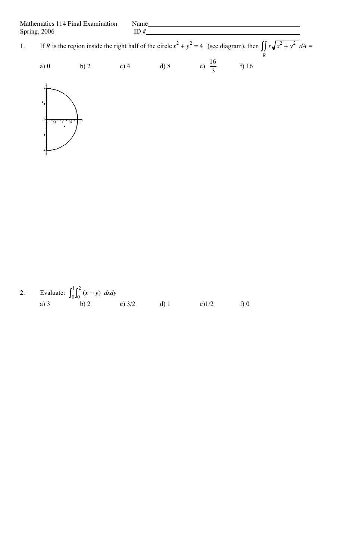Mathematics 114 Final Examination Name<br>Spring, 2006 ID # Spring, 2006

1. If *R* is the region inside the right half of the circle  $x^2 + y^2 = 4$  (see diagram), then  $\int \int x \sqrt{x^2 + y^2} dA$ *R*  $\iint x \sqrt{x^2 + y^2} dA =$ a) 0 b) 2 c) 4 d) 8 e)  $\frac{16}{3}$ f) 16

3



2. Evaluate:  $\int_0^1 \int_0^2 (x + y) \, dx dy$ a) 3 b) 2 c)  $3/2$  d) 1 e) 1/2 f) 0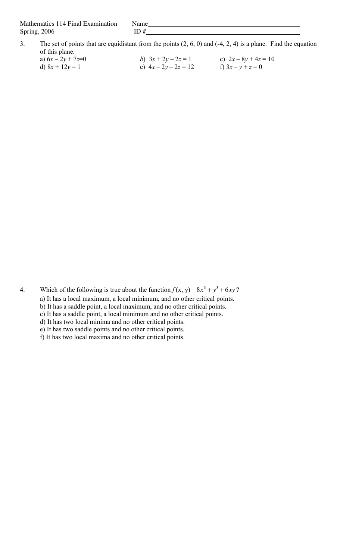Mathematics 114 Final Examination Name Spring,  $2006$  ID  $\#$ 

- 3. The set of points that are equidistant from the points (2, 6, 0) and (-4, 2, 4) is a plane. Find the equation of this plane.
	- a)  $6x 2y + 7z = 0$ <br>
	b)  $3x + 2y 2z = 1$ <br>
	c)  $2x 8y + 4z = 10$ <br>
	e)  $4x 2y 2z = 12$ <br>
	f)  $3x y + z = 0$ e)  $4x - 2y - 2z = 12$

4. Which of the following is true about the function  $f(x, y) = 8x^3 + y^3 + 6xy$ ?

a) It has a local maximum, a local minimum, and no other critical points.

b) It has a saddle point, a local maximum, and no other critical points.

c) It has a saddle point, a local minimum and no other critical points. d) It has two local minima and no other critical points.

e) It has two saddle points and no other critical points.

f) It has two local maxima and no other critical points.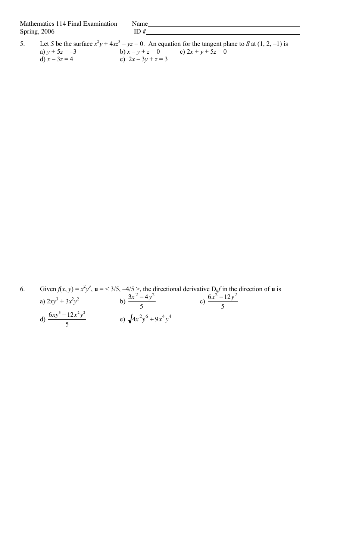Mathematics 114 Final Examination Name Spring, 2006 **ID** #

5. Let *S* be the surface  $x^2y + 4xz^3 - yz = 0$ . An equation for the tangent plane to *S* at (1, 2, -1) is a)  $y + 5z = -3$  b)  $x - y + z = 0$  c)  $2x + y + 5z = 0$ d)  $x - 3z = 4$  e)  $2x - 3y + z = 3$ 

6. Given  $f(x, y) = x^2y^3$ ,  $\mathbf{u} = \langle 3/5, -4/5 \rangle$ , the directional derivative  $D_{\mathbf{u}}f$  in the direction of **u** is a)  $2xy^3 + 3x^2y^2$  b)  $\frac{3x^2 - 4y^2}{5}$ 5 c)  $\frac{6x^2-12y^2}{5}$ 5 d)  $\frac{6xy^3 - 12x^2y^2}{5}$ 5 e)  $\sqrt{4x^2y^6 + 9x^4y^4}$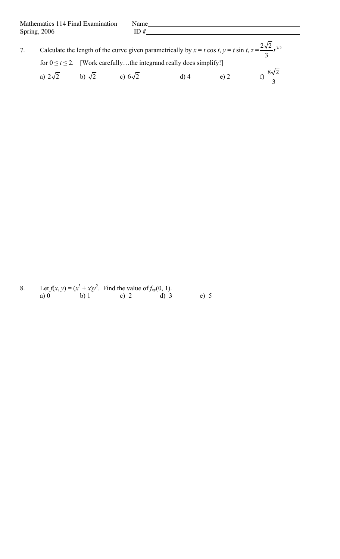|  |                                             | Calculate the length of the curve given parametrically by $x = t \cos t$ , $y = t \sin t$ , $z = \frac{2\sqrt{2}}{3}t^{3/2}$ |        |         |                          |
|--|---------------------------------------------|------------------------------------------------------------------------------------------------------------------------------|--------|---------|--------------------------|
|  |                                             | for $0 \le t \le 2$ . [Work carefullythe integrand really does simplify!]                                                    |        |         |                          |
|  | a) $2\sqrt{2}$ b) $\sqrt{2}$ c) $6\sqrt{2}$ |                                                                                                                              | $d)$ 4 | $(e)$ 2 | f) $\frac{8\sqrt{2}}{2}$ |

8. Let  $f(x, y) = (x^3 + x)y^2$ . Find the value of  $f_{xy}(0, 1)$ . a) 0 b) 1 c) 2 d) 3 e) 5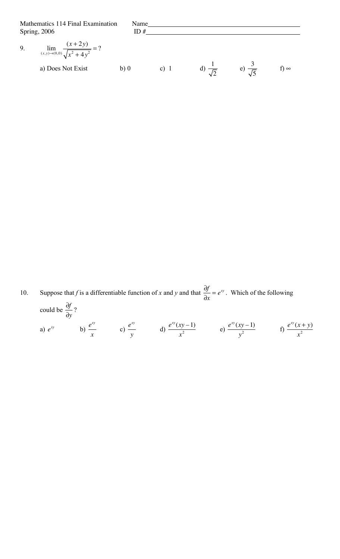Mathematics 114 Final Examination Name<br>Spring, 2006 ID # Spring, 2006 9.  $\lim_{(x,y)\to(0,0)}$ (*x* + 2*y*)  $\frac{x^2 + 2y}{x^2 + 4y^2} = ?$ a) Does Not Exist b) 0 c) 1 d)  $\frac{1}{6}$ 2 e)  $\frac{3}{5}$ 5 f) ∞

10. Suppose that *f* is a differentiable function of *x* and *y* and that  $\frac{\partial f}{\partial x}$  $\partial x$  $= e^{xy}$ . Which of the following could be  $\frac{\partial f}{\partial x}$  $\partial y$ ? a)  $e^{xy}$  b)  $\frac{e^{xy}}{2}$ *x* c)  $\frac{e^{xy}}{2}$ *y* d)  $\frac{e^{xy}(xy-1)}{2}$  $\frac{xy-1}{x^2}$  e)  $\frac{e^{xy}(xy-1)}{y^2}$ *x*<sup>2</sup> *f*)  $\frac{e^{xy}(x+y)}{x^2}$ *x* 2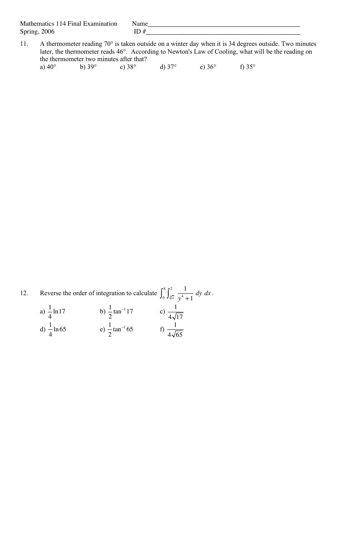Mathematics 114 Final Examination Name Spring, 2006 **ID** #

- 11. A thermometer reading 70° is taken outside on a winter day when it is 34 degrees outside. Two minutes
- later, the thermometer reads 46°. According to Newton's Law of Cooling, what will be the reading on the thermometer two minutes after that? a)  $40^{\circ}$  b) 39° c) 38° d) 37° e) 36° f) 35°

12. Reverse the order of integration to calculate  $\int_{0}^{8} \int_{0}^{2} \frac{1}{4}$  $\sqrt[3]{x}$   $y^4 + 1$  $\int_0^8 \int_{\sqrt[3]{x}}^2 \frac{1}{v^4 + 1} dy dx$ . a)  $\frac{1}{1}$ 4  $ln 17$  b)  $\frac{1}{2}$ 2  $tan^{-1}$ 17 c)  $\frac{1}{1}$  $4\sqrt{17}$ d)  $\frac{1}{1}$ 4 ln 65 e)  $\frac{1}{2}$ 2 tan  $^{-1}$  65 f)  $\frac{1}{1}$  $4\sqrt{65}$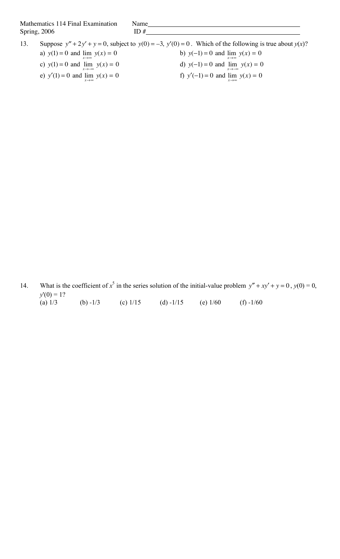Mathematics 114 Final Examination Name Spring,  $2006$  ID  $\#$ 

13. Suppose  $y'' + 2y' + y = 0$ , subject to  $y(0) = -3$ ,  $y'(0) = 0$ . Which of the following is true about  $y(x)$ ? a)  $y(1) = 0$  and  $\lim y(x) = 0$  $x \rightarrow \infty$ b)  $y(-1) = 0$  and  $\lim_{x \to \infty} y(x) = 0$ c)  $y(1) = 0$  and  $\lim_{x \to -\infty} y(x) = 0$ d)  $y(-1) = 0$  and  $\lim_{x \to -\infty} y(x) = 0$ e)  $y'(1) = 0$  and  $\lim_{x \to \infty} y(x) = 0$ f)  $y'(-1) = 0$  and  $\lim_{x \to \infty} y(x) = 0$ 

14. What is the coefficient of  $x^5$  in the series solution of the initial-value problem  $y'' + xy' + y = 0$ ,  $y(0) = 0$ ,  $y'(0) = 1?$ (a)  $1/3$  (b)  $-1/3$  (c)  $1/15$  (d)  $-1/15$  (e)  $1/60$  (f)  $-1/60$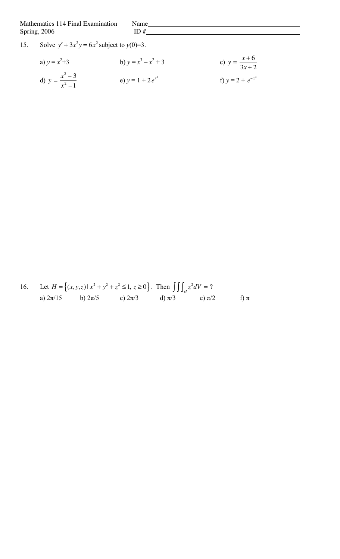Mathematics 114 Final Examination Name Spring,  $2006$  ID #

## 15. Solve  $y' + 3x^2y = 6x^2$  subject to  $y(0)=3$ .

a) 
$$
y = x^2 + 3
$$
  
\nb)  $y = x^3 - x^2 + 3$   
\nc)  $y = \frac{x+6}{3x+2}$   
\nd)  $y = \frac{x^2 - 3}{x^2 - 1}$   
\ne)  $y = 1 + 2e^{x^2}$   
\nf)  $y = 2 + e^{-x^3}$ 

16. Let 
$$
H = \{(x, y, z) | x^2 + y^2 + z^2 \le 1, z \ge 0\}
$$
. Then  $\iiint_H z^2 dV = ?$   
\na)  $2\pi/15$  b)  $2\pi/5$  c)  $2\pi/3$  d)  $\pi/3$  e)  $\pi/2$  f)  $\pi$